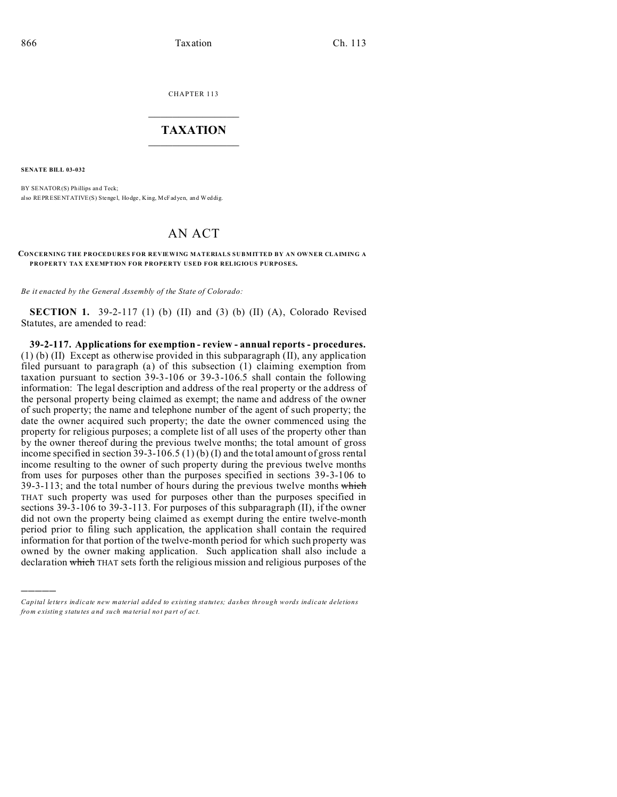CHAPTER 113  $\overline{\phantom{a}}$  , where  $\overline{\phantom{a}}$ 

## **TAXATION**  $\_$

**SENATE BILL 03-032**

)))))

BY SENATOR(S) Phillips and Teck; also REPRESENTATIVE(S) Stenge l, Hodge , King, McFadyen, and Weddig.

## AN ACT

## **CONCERNING THE PROCEDURES FOR REVIEWING MATERIALS SUBMITTED BY AN OWNER CLAIMING A PROPERTY TAX EXEMPTION FOR PROPERTY USED FOR RELIGIOUS PURPOSES.**

*Be it enacted by the General Assembly of the State of Colorado:*

**SECTION 1.** 39-2-117 (1) (b) (II) and (3) (b) (II) (A), Colorado Revised Statutes, are amended to read:

**39-2-117. Applications for exemption - review - annual reports - procedures.** (1) (b) (II) Except as otherwise provided in this subparagraph (II), any application filed pursuant to paragraph (a) of this subsection (1) claiming exemption from taxation pursuant to section 39-3-106 or 39-3-106.5 shall contain the following information: The legal description and address of the real property or the address of the personal property being claimed as exempt; the name and address of the owner of such property; the name and telephone number of the agent of such property; the date the owner acquired such property; the date the owner commenced using the property for religious purposes; a complete list of all uses of the property other than by the owner thereof during the previous twelve months; the total amount of gross income specified in section 39-3-106.5 (1) (b) (I) and the total amount of gross rental income resulting to the owner of such property during the previous twelve months from uses for purposes other than the purposes specified in sections 39-3-106 to 39-3-113; and the total number of hours during the previous twelve months which THAT such property was used for purposes other than the purposes specified in sections 39-3-106 to 39-3-113. For purposes of this subparagraph (II), if the owner did not own the property being claimed as exempt during the entire twelve-month period prior to filing such application, the application shall contain the required information for that portion of the twelve-month period for which such property was owned by the owner making application. Such application shall also include a declaration which THAT sets forth the religious mission and religious purposes of the

*Capital letters indicate new material added to existing statutes; dashes through words indicate deletions from e xistin g statu tes a nd such ma teria l no t pa rt of ac t.*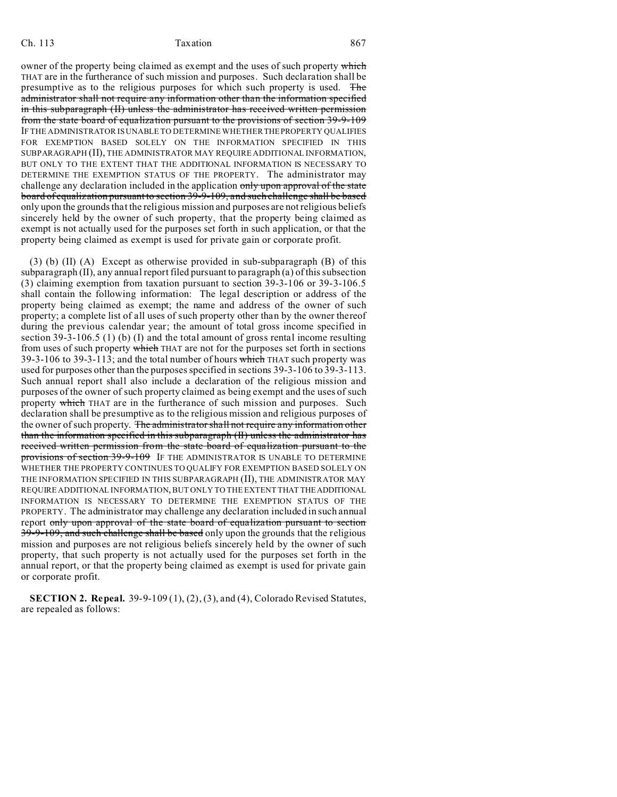## Ch. 113 Taxation **Taxation** 867

owner of the property being claimed as exempt and the uses of such property which THAT are in the furtherance of such mission and purposes. Such declaration shall be presumptive as to the religious purposes for which such property is used. The administrator shall not require any information other than the information specified in this subparagraph (II) unless the administrator has received written permission from the state board of equalization pursuant to the provisions of section 39-9-109 IF THE ADMINISTRATOR IS UNABLE TO DETERMINE WHETHER THEPROPERTY QUALIFIES FOR EXEMPTION BASED SOLELY ON THE INFORMATION SPECIFIED IN THIS SUBPARAGRAPH (II), THE ADMINISTRATOR MAY REQUIRE ADDITIONAL INFORMATION, BUT ONLY TO THE EXTENT THAT THE ADDITIONAL INFORMATION IS NECESSARY TO DETERMINE THE EXEMPTION STATUS OF THE PROPERTY. The administrator may challenge any declaration included in the application only upon approval of the state board of equalization pursuant to section 39-9-109, and such challenge shall be based only upon the grounds that the religious mission and purposes are not religious beliefs sincerely held by the owner of such property, that the property being claimed as exempt is not actually used for the purposes set forth in such application, or that the property being claimed as exempt is used for private gain or corporate profit.

(3) (b) (II) (A) Except as otherwise provided in sub-subparagraph (B) of this subparagraph (II), any annual report filed pursuant to paragraph (a) of this subsection (3) claiming exemption from taxation pursuant to section 39-3-106 or 39-3-106.5 shall contain the following information: The legal description or address of the property being claimed as exempt; the name and address of the owner of such property; a complete list of all uses of such property other than by the owner thereof during the previous calendar year; the amount of total gross income specified in section 39-3-106.5 (1) (b) (I) and the total amount of gross rental income resulting from uses of such property which THAT are not for the purposes set forth in sections 39-3-106 to 39-3-113; and the total number of hours which THAT such property was used for purposes other than the purposes specified in sections 39-3-106 to 39-3-113. Such annual report shall also include a declaration of the religious mission and purposes of the owner of such property claimed as being exempt and the uses of such property which THAT are in the furtherance of such mission and purposes. Such declaration shall be presumptive as to the religious mission and religious purposes of the owner of such property. The administrator shall not require any information other than the information specified in this subparagraph (II) unless the administrator has received written permission from the state board of equalization pursuant to the provisions of section 39-9-109 IF THE ADMINISTRATOR IS UNABLE TO DETERMINE WHETHER THE PROPERTY CONTINUES TO QUALIFY FOR EXEMPTION BASED SOLELY ON THE INFORMATION SPECIFIED IN THIS SUBPARAGRAPH (II), THE ADMINISTRATOR MAY REQUIRE ADDITIONAL INFORMATION, BUT ONLY TO THE EXTENT THAT THEADDITIONAL INFORMATION IS NECESSARY TO DETERMINE THE EXEMPTION STATUS OF THE PROPERTY. The administrator may challenge any declaration included in such annual report only upon approval of the state board of equalization pursuant to section 39-9-109, and such challenge shall be based only upon the grounds that the religious mission and purposes are not religious beliefs sincerely held by the owner of such property, that such property is not actually used for the purposes set forth in the annual report, or that the property being claimed as exempt is used for private gain or corporate profit.

**SECTION 2. Repeal.** 39-9-109 (1), (2), (3), and (4), Colorado Revised Statutes, are repealed as follows: